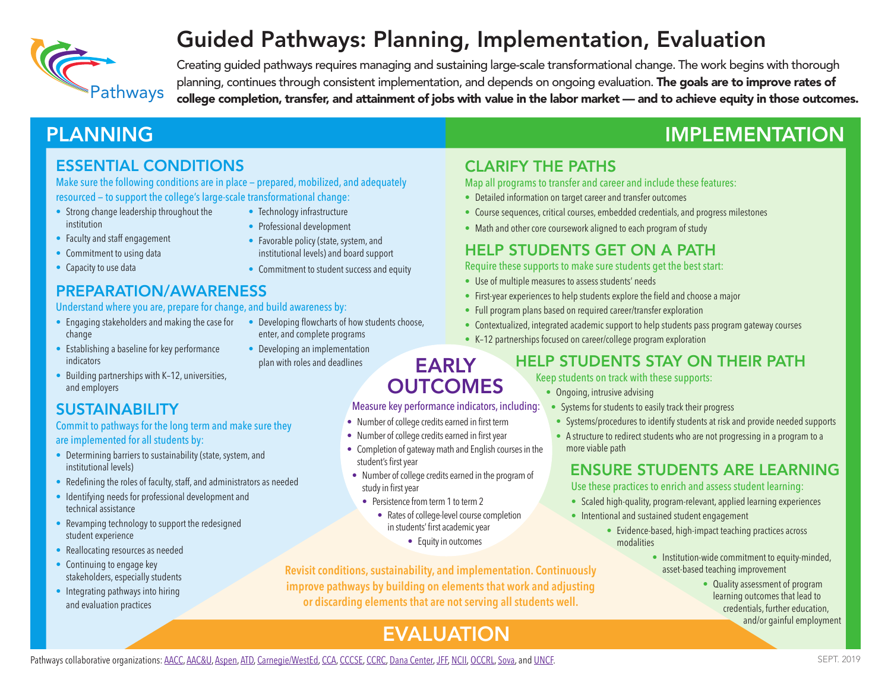

# Guided Pathways: Planning, Implementation, Evaluation

Creating guided pathways requires managing and sustaining large-scale transformational change. The work begins with thorough planning, continues through consistent implementation, and depends on ongoing evaluation. The goals are to improve rates of<br>Pathways college completion, transfer, and attainment of jobs with value in the labor market — and

# PLANNING THE IMPLEMENTATION

## ESSENTIAL CONDITIONS

Make sure the following conditions are in place — prepared, mobilized, and adequately resourced — to support the college's large-scale transformational change:

- Strong change leadership throughout the institution
- Technology infrastructure
- Faculty and staff engagement
- Professional development • Favorable policy (state, system, and
- Commitment to using data
- Capacity to use data

institutional levels) and board support • Commitment to student success and equity

# PREPARATION/AWARENESS

### Understand where you are, prepare for change, and build awareness by:

- Engaging stakeholders and making the case for Developing flowcharts of how students choose, change
- enter, and complete programs
- Establishing a baseline for key performance indicators
- Developing an implementation plan with roles and deadlines

# CLARIFY THE PATHS

Map all programs to transfer and career and include these features:

- Detailed information on target career and transfer outcomes
- Course sequences, critical courses, embedded credentials, and progress milestones
- Math and other core coursework aligned to each program of study

## HELP STUDENTS GET ON A PATH

#### Require these supports to make sure students get the best start:

- Use of multiple measures to assess students' needs
- First-year experiences to help students explore the field and choose a major
- Full program plans based on required career/transfer exploration
- Contextualized, integrated academic support to help students pass program gateway courses
- K–12 partnerships focused on career/college program exploration

# HELP STUDENTS STAY ON THEIR PATH

#### Keep students on track with these supports:

- Ongoing, intrusive advising
- Systems for students to easily track their progress
- Systems/procedures to identify students at risk and provide needed supports
- A structure to redirect students who are not progressing in a program to a more viable path

### ENSURE STUDENTS ARE LEARNING

Use these practices to enrich and assess student learning:

- Scaled high-quality, program-relevant, applied learning experiences
- Intentional and sustained student engagement
	- Evidence-based, high-impact teaching practices across modalities
		- Institution-wide commitment to equity-minded, asset-based teaching improvement
			- Quality assessment of program learning outcomes that lead to credentials, further education, and/or gainful employment

### • Building partnerships with K–12, universities, and employers

# SUSTAINABILITY

### Commit to pathways for the long term and make sure they are implemented for all students by:

- Determining barriers to sustainability (state, system, and institutional levels)
- Redefining the roles of faculty, staff, and administrators as needed
- Identifying needs for professional development and technical assistance
- Revamping technology to support the redesigned student experience
- Reallocating resources as needed
- Continuing to engage key stakeholders, especially students
- Integrating pathways into hiring and evaluation practices

**Revisit conditions, sustainability, and implementation. Continuously improve pathways by building on elements that work and adjusting or discarding elements that are not serving all students well.**

• Number of college credits earned in first term • Number of college credits earned in firstyear

• Persistence from term 1 to term 2

student's first year

study in first year

• Completion of gateway math and English courses in the

EARLY **OUTCOMES** Measure key performance indicators, including:

• Number of college credits earned in the program of

• Rates of college-level course completion in students' first academicyear • Equity in outcomes